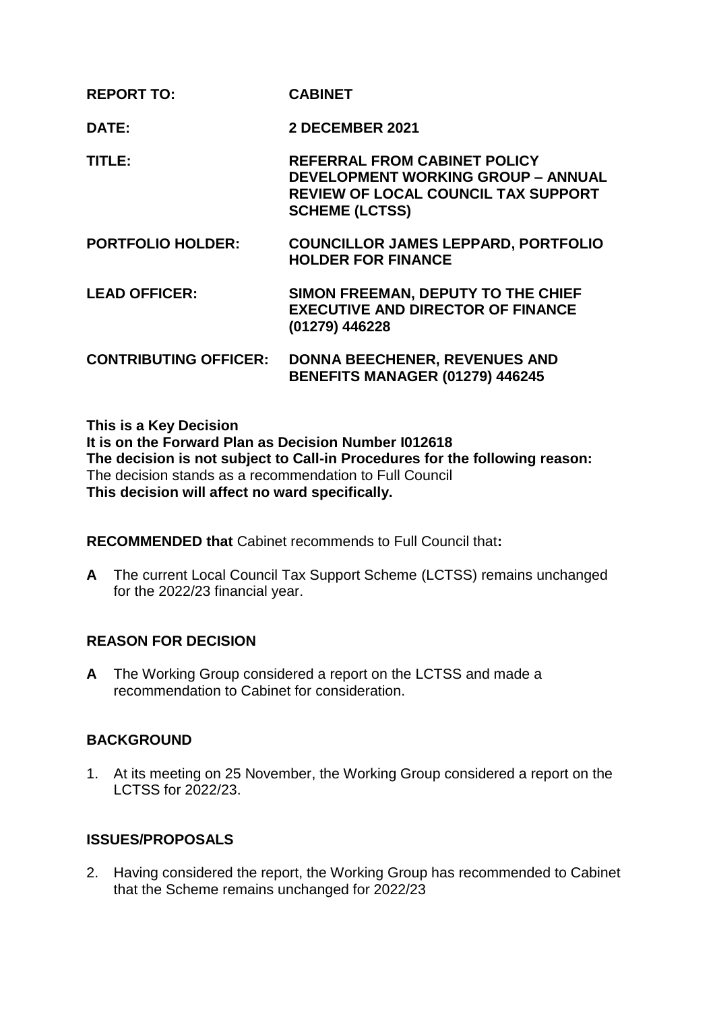| <b>REPORT TO:</b>            | <b>CABINET</b>                                                                                                                                          |
|------------------------------|---------------------------------------------------------------------------------------------------------------------------------------------------------|
| DATE:                        | <b>2 DECEMBER 2021</b>                                                                                                                                  |
| TITLE:                       | <b>REFERRAL FROM CABINET POLICY</b><br><b>DEVELOPMENT WORKING GROUP - ANNUAL</b><br><b>REVIEW OF LOCAL COUNCIL TAX SUPPORT</b><br><b>SCHEME (LCTSS)</b> |
| <b>PORTFOLIO HOLDER:</b>     | <b>COUNCILLOR JAMES LEPPARD, PORTFOLIO</b><br><b>HOLDER FOR FINANCE</b>                                                                                 |
| <b>LEAD OFFICER:</b>         | SIMON FREEMAN, DEPUTY TO THE CHIEF<br><b>EXECUTIVE AND DIRECTOR OF FINANCE</b><br>(01279) 446228                                                        |
| <b>CONTRIBUTING OFFICER:</b> | <b>DONNA BEECHENER, REVENUES AND</b><br><b>BENEFITS MANAGER (01279) 446245</b>                                                                          |

**This is a Key Decision It is on the Forward Plan as Decision Number I012618 The decision is not subject to Call-in Procedures for the following reason:** The decision stands as a recommendation to Full Council **This decision will affect no ward specifically.**

**RECOMMENDED that** Cabinet recommends to Full Council that**:**

**A** The current Local Council Tax Support Scheme (LCTSS) remains unchanged for the 2022/23 financial year.

### **REASON FOR DECISION**

**A** The Working Group considered a report on the LCTSS and made a recommendation to Cabinet for consideration.

### **BACKGROUND**

1. At its meeting on 25 November, the Working Group considered a report on the LCTSS for 2022/23.

### **ISSUES/PROPOSALS**

2. Having considered the report, the Working Group has recommended to Cabinet that the Scheme remains unchanged for 2022/23